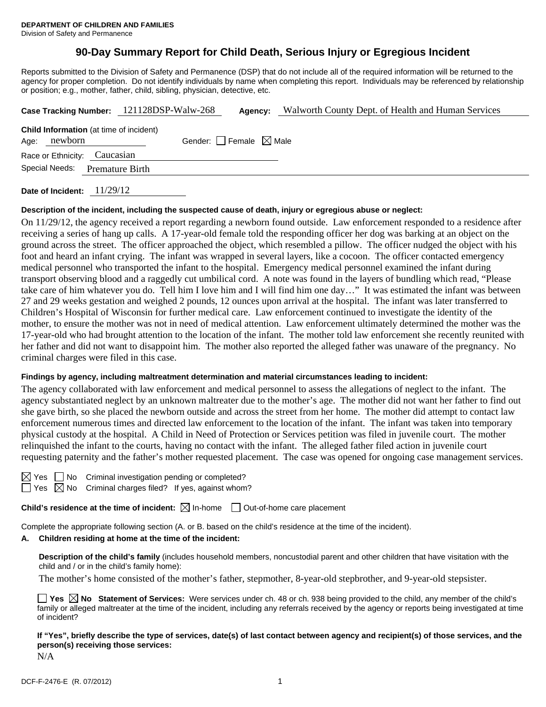# **90-Day Summary Report for Child Death, Serious Injury or Egregious Incident**

Reports submitted to the Division of Safety and Permanence (DSP) that do not include all of the required information will be returned to the agency for proper completion. Do not identify individuals by name when completing this report. Individuals may be referenced by relationship or position; e.g., mother, father, child, sibling, physician, detective, etc.

|                                          |         |                                                | Case Tracking Number: 121128DSP-Walw-268 | Agency: | Walworth County Dept. of Health and Human Services |
|------------------------------------------|---------|------------------------------------------------|------------------------------------------|---------|----------------------------------------------------|
| Age:                                     | newborn | <b>Child Information</b> (at time of incident) | Gender: Female $\boxtimes$ Male          |         |                                                    |
|                                          |         | Race or Ethnicity: Caucasian                   |                                          |         |                                                    |
| Special Needs:<br><b>Premature Birth</b> |         |                                                |                                          |         |                                                    |
|                                          |         |                                                |                                          |         |                                                    |

**Date of Incident:** 11/29/12

#### **Description of the incident, including the suspected cause of death, injury or egregious abuse or neglect:**

On 11/29/12, the agency received a report regarding a newborn found outside. Law enforcement responded to a residence after receiving a series of hang up calls. A 17-year-old female told the responding officer her dog was barking at an object on the ground across the street. The officer approached the object, which resembled a pillow. The officer nudged the object with his foot and heard an infant crying. The infant was wrapped in several layers, like a cocoon. The officer contacted emergency medical personnel who transported the infant to the hospital. Emergency medical personnel examined the infant during transport observing blood and a raggedly cut umbilical cord. A note was found in the layers of bundling which read, "Please take care of him whatever you do. Tell him I love him and I will find him one day…" It was estimated the infant was between 27 and 29 weeks gestation and weighed 2 pounds, 12 ounces upon arrival at the hospital. The infant was later transferred to Children's Hospital of Wisconsin for further medical care. Law enforcement continued to investigate the identity of the mother, to ensure the mother was not in need of medical attention. Law enforcement ultimately determined the mother was the 17-year-old who had brought attention to the location of the infant. The mother told law enforcement she recently reunited with her father and did not want to disappoint him. The mother also reported the alleged father was unaware of the pregnancy. No criminal charges were filed in this case.

#### **Findings by agency, including maltreatment determination and material circumstances leading to incident:**

The agency collaborated with law enforcement and medical personnel to assess the allegations of neglect to the infant. The agency substantiated neglect by an unknown maltreater due to the mother's age. The mother did not want her father to find out she gave birth, so she placed the newborn outside and across the street from her home. The mother did attempt to contact law enforcement numerous times and directed law enforcement to the location of the infant. The infant was taken into temporary physical custody at the hospital. A Child in Need of Protection or Services petition was filed in juvenile court. The mother relinquished the infant to the courts, having no contact with the infant. The alleged father filed action in juvenile court requesting paternity and the father's mother requested placement. The case was opened for ongoing case management services.

No Criminal investigation pending or completed?  $\sqrt{3}$  No Criminal charges filed? If yes, against whom?

**Child's residence at the time of incident:**  $\boxtimes$  In-home  $\Box$  Out-of-home care placement

Complete the appropriate following section (A. or B. based on the child's residence at the time of the incident).

# **A. Children residing at home at the time of the incident:**

**Description of the child's family** (includes household members, noncustodial parent and other children that have visitation with the child and / or in the child's family home):

The mother's home consisted of the mother's father, stepmother, 8-year-old stepbrother, and 9-year-old stepsister.

|              |  |  |  |  | <b>T</b> Yes $\boxtimes$ No Statement of Services: Were services under ch. 48 or ch. 938 being provided to the child, any member of the child's |  |
|--------------|--|--|--|--|-------------------------------------------------------------------------------------------------------------------------------------------------|--|
|              |  |  |  |  | family or alleged maltreater at the time of the incident, including any referrals received by the agency or reports being investigated at time  |  |
| of incident? |  |  |  |  |                                                                                                                                                 |  |

**If "Yes", briefly describe the type of services, date(s) of last contact between agency and recipient(s) of those services, and the person(s) receiving those services:** 

N/A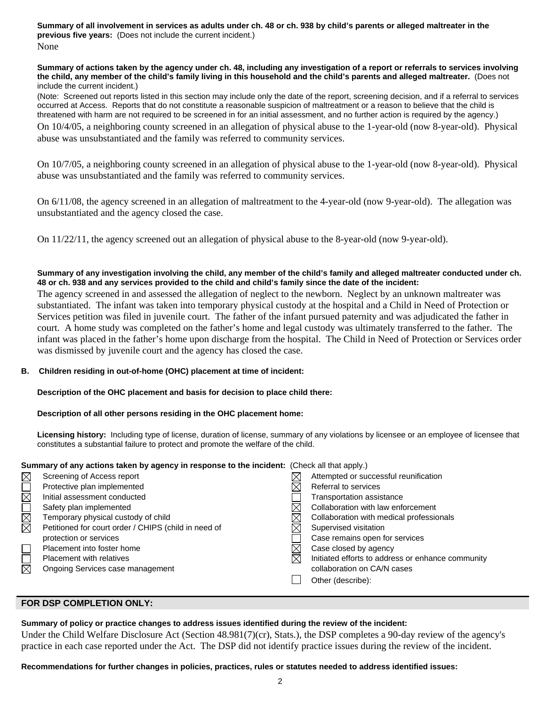**Summary of all involvement in services as adults under ch. 48 or ch. 938 by child's parents or alleged maltreater in the previous five years:** (Does not include the current incident.) None

**Summary of actions taken by the agency under ch. 48, including any investigation of a report or referrals to services involving the child, any member of the child's family living in this household and the child's parents and alleged maltreater.** (Does not include the current incident.)

(Note: Screened out reports listed in this section may include only the date of the report, screening decision, and if a referral to services occurred at Access. Reports that do not constitute a reasonable suspicion of maltreatment or a reason to believe that the child is threatened with harm are not required to be screened in for an initial assessment, and no further action is required by the agency.)

On 10/4/05, a neighboring county screened in an allegation of physical abuse to the 1-year-old (now 8-year-old). Physical abuse was unsubstantiated and the family was referred to community services.

On 10/7/05, a neighboring county screened in an allegation of physical abuse to the 1-year-old (now 8-year-old). Physical abuse was unsubstantiated and the family was referred to community services.

On 6/11/08, the agency screened in an allegation of maltreatment to the 4-year-old (now 9-year-old). The allegation was unsubstantiated and the agency closed the case.

On 11/22/11, the agency screened out an allegation of physical abuse to the 8-year-old (now 9-year-old).

# **Summary of any investigation involving the child, any member of the child's family and alleged maltreater conducted under ch. 48 or ch. 938 and any services provided to the child and child's family since the date of the incident:**

The agency screened in and assessed the allegation of neglect to the newborn. Neglect by an unknown maltreater was substantiated. The infant was taken into temporary physical custody at the hospital and a Child in Need of Protection or Services petition was filed in juvenile court. The father of the infant pursued paternity and was adjudicated the father in court. A home study was completed on the father's home and legal custody was ultimately transferred to the father. The infant was placed in the father's home upon discharge from the hospital. The Child in Need of Protection or Services order was dismissed by juvenile court and the agency has closed the case.

# **B. Children residing in out-of-home (OHC) placement at time of incident:**

#### **Description of the OHC placement and basis for decision to place child there:**

# **Description of all other persons residing in the OHC placement home:**

**Licensing history:** Including type of license, duration of license, summary of any violations by licensee or an employee of licensee that constitutes a substantial failure to protect and promote the welfare of the child.

#### **Summary of any actions taken by agency in response to the incident:** (Check all that apply.)

|                     | Screening of Access report                           | Attempted or successful reunification             |
|---------------------|------------------------------------------------------|---------------------------------------------------|
|                     | Protective plan implemented                          | Referral to services                              |
|                     | Initial assessment conducted                         | Transportation assistance                         |
|                     | Safety plan implemented                              | Collaboration with law enforcement                |
| <u>NNI</u>          | Temporary physical custody of child                  | Collaboration with medical professionals          |
|                     | Petitioned for court order / CHIPS (child in need of | Supervised visitation                             |
|                     | protection or services                               | Case remains open for services                    |
|                     | Placement into foster home                           | Case closed by agency                             |
|                     | <b>Placement with relatives</b>                      | Initiated efforts to address or enhance community |
| $\overline{\times}$ | Ongoing Services case management                     | collaboration on CA/N cases                       |
|                     |                                                      | Other (describe):                                 |

# **FOR DSP COMPLETION ONLY:**

# **Summary of policy or practice changes to address issues identified during the review of the incident:**

Under the Child Welfare Disclosure Act (Section 48.981(7)(cr), Stats.), the DSP completes a 90-day review of the agency's practice in each case reported under the Act. The DSP did not identify practice issues during the review of the incident.

#### **Recommendations for further changes in policies, practices, rules or statutes needed to address identified issues:**